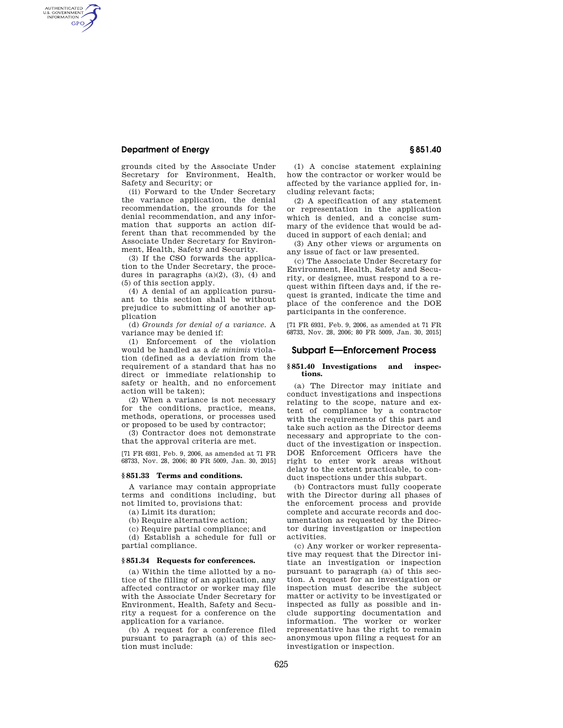# **Department of Energy § 851.40**

AUTHENTICATED<br>U.S. GOVERNMENT<br>INFORMATION **GPO** 

> grounds cited by the Associate Under Secretary for Environment, Health, Safety and Security; or

> (ii) Forward to the Under Secretary the variance application, the denial recommendation, the grounds for the denial recommendation, and any information that supports an action different than that recommended by the Associate Under Secretary for Environment, Health, Safety and Security.

> (3) If the CSO forwards the application to the Under Secretary, the procedures in paragraphs  $(a)(2)$ ,  $(3)$ ,  $(4)$  and (5) of this section apply.

> (4) A denial of an application pursuant to this section shall be without prejudice to submitting of another application

> (d) *Grounds for denial of a variance.* A variance may be denied if:

> (1) Enforcement of the violation would be handled as a *de minimis* violation (defined as a deviation from the requirement of a standard that has no direct or immediate relationship to safety or health, and no enforcement action will be taken);

> (2) When a variance is not necessary for the conditions, practice, means, methods, operations, or processes used or proposed to be used by contractor;

(3) Contractor does not demonstrate that the approval criteria are met.

[71 FR 6931, Feb. 9, 2006, as amended at 71 FR 68733, Nov. 28, 2006; 80 FR 5009, Jan. 30, 2015]

## **§ 851.33 Terms and conditions.**

A variance may contain appropriate terms and conditions including, but not limited to, provisions that:

(a) Limit its duration;

(b) Require alternative action;

(c) Require partial compliance; and (d) Establish a schedule for full or partial compliance.

### **§ 851.34 Requests for conferences.**

(a) Within the time allotted by a notice of the filling of an application, any affected contractor or worker may file with the Associate Under Secretary for Environment, Health, Safety and Security a request for a conference on the application for a variance.

(b) A request for a conference filed pursuant to paragraph (a) of this section must include:

(1) A concise statement explaining how the contractor or worker would be affected by the variance applied for, including relevant facts;

(2) A specification of any statement or representation in the application which is denied, and a concise summary of the evidence that would be adduced in support of each denial; and

(3) Any other views or arguments on any issue of fact or law presented.

(c) The Associate Under Secretary for Environment, Health, Safety and Security, or designee, must respond to a request within fifteen days and, if the request is granted, indicate the time and place of the conference and the DOE participants in the conference.

[71 FR 6931, Feb. 9, 2006, as amended at 71 FR 68733, Nov. 28, 2006; 80 FR 5009, Jan. 30, 2015]

### **Subpart E—Enforcement Process**

### **§ 851.40 Investigations and inspections.**

(a) The Director may initiate and conduct investigations and inspections relating to the scope, nature and extent of compliance by a contractor with the requirements of this part and take such action as the Director deems necessary and appropriate to the conduct of the investigation or inspection. DOE Enforcement Officers have the right to enter work areas without delay to the extent practicable, to conduct inspections under this subpart.

(b) Contractors must fully cooperate with the Director during all phases of the enforcement process and provide complete and accurate records and documentation as requested by the Director during investigation or inspection activities.

(c) Any worker or worker representative may request that the Director initiate an investigation or inspection pursuant to paragraph (a) of this section. A request for an investigation or inspection must describe the subject matter or activity to be investigated or inspected as fully as possible and include supporting documentation and information. The worker or worker representative has the right to remain anonymous upon filing a request for an investigation or inspection.